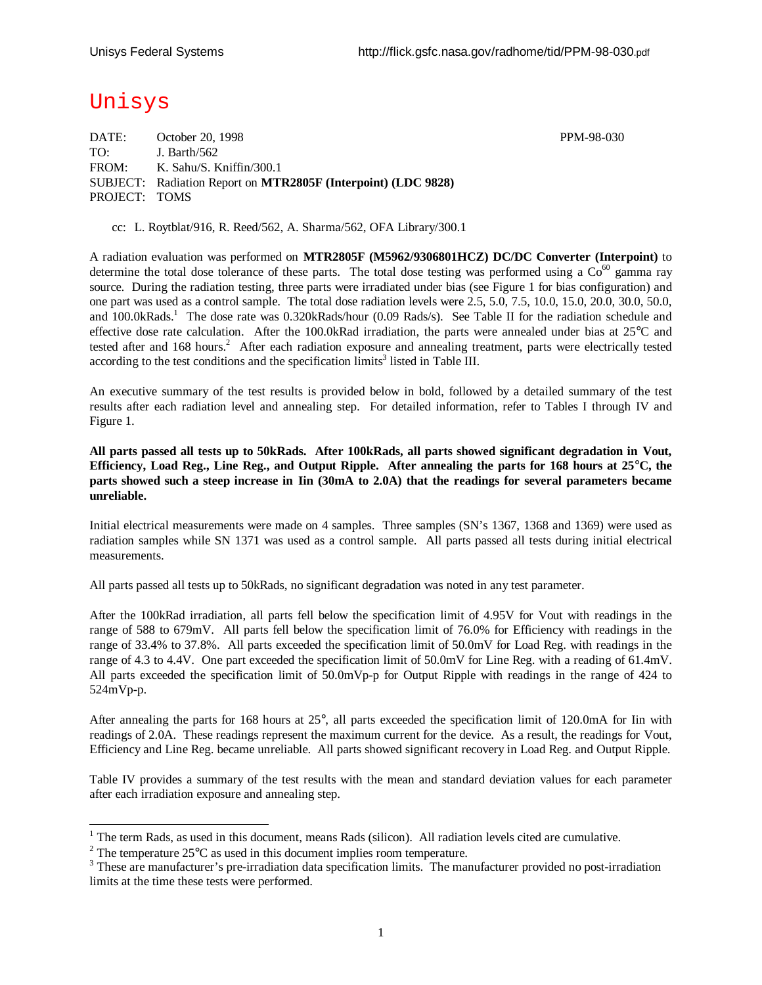# Unisys

-

DATE: October 20, 1998 **PPM-98-030** TO: J. Barth/562 FROM: K. Sahu/S. Kniffin/300.1 SUBJECT: Radiation Report on **MTR2805F (Interpoint) (LDC 9828)** PROJECT: TOMS

cc: L. Roytblat/916, R. Reed/562, A. Sharma/562, OFA Library/300.1

A radiation evaluation was performed on **MTR2805F (M5962/9306801HCZ) DC/DC Converter (Interpoint)** to determine the total dose tolerance of these parts. The total dose testing was performed using a  $Co<sup>60</sup>$  gamma ray source. During the radiation testing, three parts were irradiated under bias (see Figure 1 for bias configuration) and one part was used as a control sample. The total dose radiation levels were 2.5, 5.0, 7.5, 10.0, 15.0, 20.0, 30.0, 50.0, and 100.0kRads.<sup>1</sup> The dose rate was 0.320kRads/hour (0.09 Rads/s). See Table II for the radiation schedule and effective dose rate calculation. After the 100.0kRad irradiation, the parts were annealed under bias at 25°C and tested after and 168 hours.<sup>2</sup> After each radiation exposure and annealing treatment, parts were electrically tested according to the test conditions and the specification limits<sup>3</sup> listed in Table III.

An executive summary of the test results is provided below in bold, followed by a detailed summary of the test results after each radiation level and annealing step. For detailed information, refer to Tables I through IV and Figure 1.

**All parts passed all tests up to 50kRads. After 100kRads, all parts showed significant degradation in Vout, Efficiency, Load Reg., Line Reg., and Output Ripple. After annealing the parts for 168 hours at 25°C, the parts showed such a steep increase in Iin (30mA to 2.0A) that the readings for several parameters became unreliable.**

Initial electrical measurements were made on 4 samples. Three samples (SN's 1367, 1368 and 1369) were used as radiation samples while SN 1371 was used as a control sample. All parts passed all tests during initial electrical measurements.

All parts passed all tests up to 50kRads, no significant degradation was noted in any test parameter.

After the 100kRad irradiation, all parts fell below the specification limit of 4.95V for Vout with readings in the range of 588 to 679mV. All parts fell below the specification limit of 76.0% for Efficiency with readings in the range of 33.4% to 37.8%. All parts exceeded the specification limit of 50.0mV for Load Reg. with readings in the range of 4.3 to 4.4V. One part exceeded the specification limit of 50.0mV for Line Reg. with a reading of 61.4mV. All parts exceeded the specification limit of 50.0mVp-p for Output Ripple with readings in the range of 424 to 524mVp-p.

After annealing the parts for 168 hours at 25°, all parts exceeded the specification limit of 120.0mA for Iin with readings of 2.0A. These readings represent the maximum current for the device. As a result, the readings for Vout, Efficiency and Line Reg. became unreliable. All parts showed significant recovery in Load Reg. and Output Ripple.

Table IV provides a summary of the test results with the mean and standard deviation values for each parameter after each irradiation exposure and annealing step.

 $1$  The term Rads, as used in this document, means Rads (silicon). All radiation levels cited are cumulative.

<sup>&</sup>lt;sup>2</sup> The temperature  $25^{\circ}$ C as used in this document implies room temperature.

 $3$  These are manufacturer's pre-irradiation data specification limits. The manufacturer provided no post-irradiation limits at the time these tests were performed.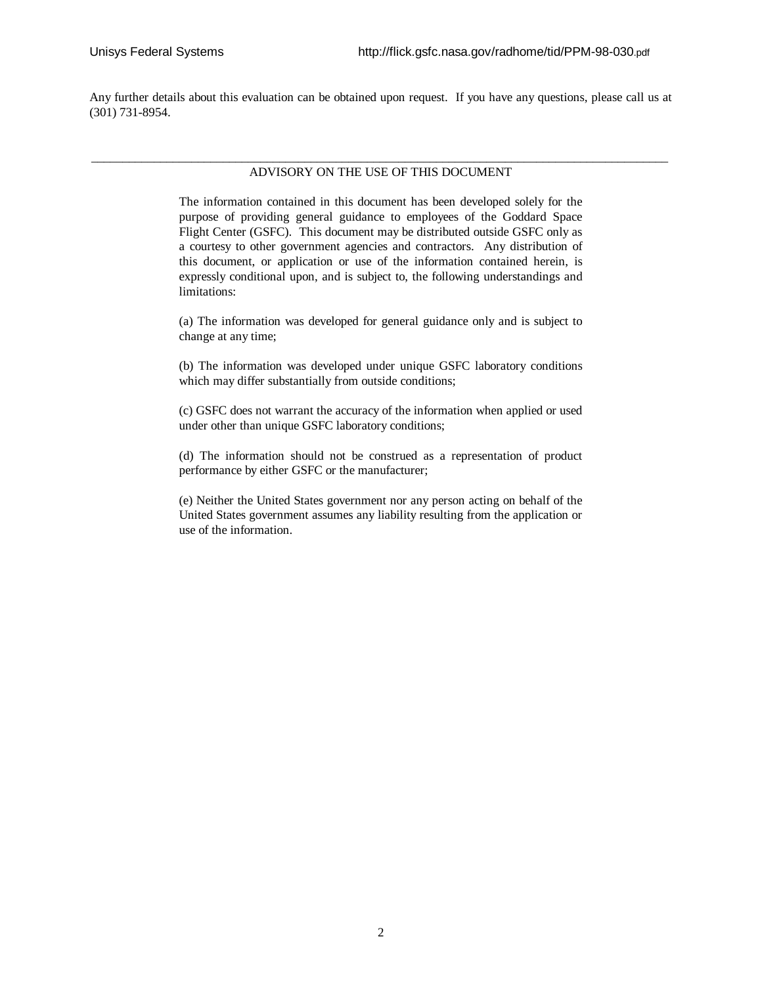Any further details about this evaluation can be obtained upon request. If you have any questions, please call us at (301) 731-8954.

### \_\_\_\_\_\_\_\_\_\_\_\_\_\_\_\_\_\_\_\_\_\_\_\_\_\_\_\_\_\_\_\_\_\_\_\_\_\_\_\_\_\_\_\_\_\_\_\_\_\_\_\_\_\_\_\_\_\_\_\_\_\_\_\_\_\_\_\_\_\_\_\_\_\_\_\_\_\_\_\_\_\_\_\_\_\_\_\_\_\_\_\_ ADVISORY ON THE USE OF THIS DOCUMENT

The information contained in this document has been developed solely for the purpose of providing general guidance to employees of the Goddard Space Flight Center (GSFC). This document may be distributed outside GSFC only as a courtesy to other government agencies and contractors. Any distribution of this document, or application or use of the information contained herein, is expressly conditional upon, and is subject to, the following understandings and limitations:

(a) The information was developed for general guidance only and is subject to change at any time;

(b) The information was developed under unique GSFC laboratory conditions which may differ substantially from outside conditions;

(c) GSFC does not warrant the accuracy of the information when applied or used under other than unique GSFC laboratory conditions;

(d) The information should not be construed as a representation of product performance by either GSFC or the manufacturer;

(e) Neither the United States government nor any person acting on behalf of the United States government assumes any liability resulting from the application or use of the information.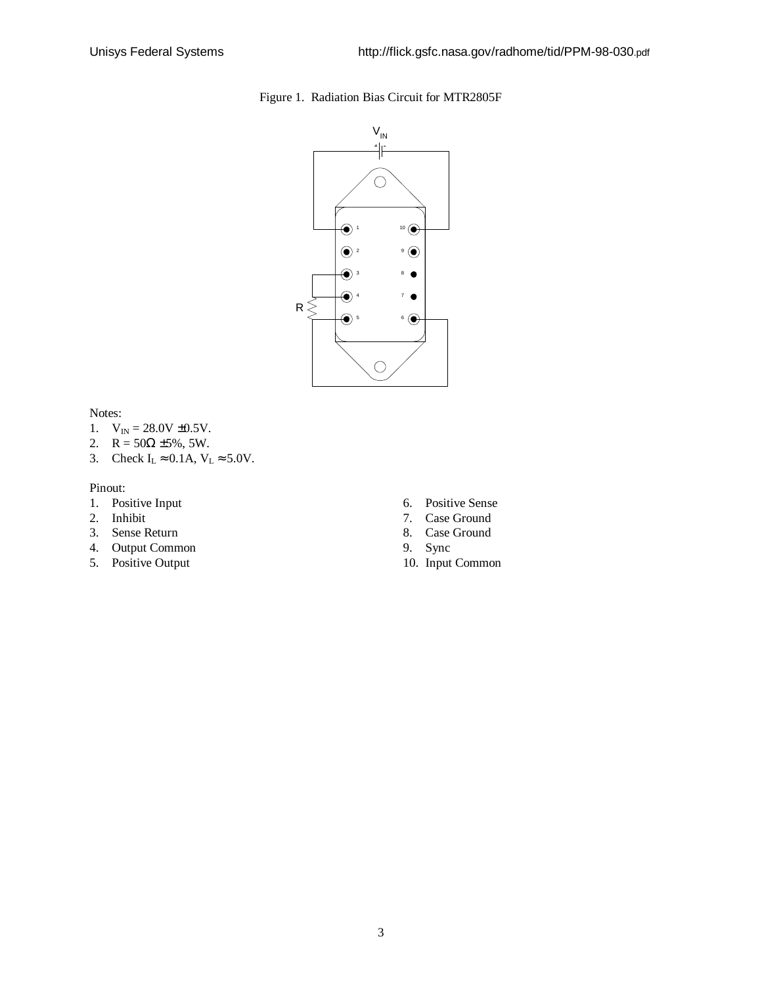



Notes:

- 1.  $V_{IN} = 28.0V \pm 0.5V$ .
- 2.  $R = 50\Omega \pm 5\%, 5W$ .
- 3. Check  $I_L \approx 0.1$ A,  $V_L \approx 5.0$ V.

#### Pinout:

- 1. Positive Input
- 2. Inhibit
- 3. Sense Return
- 4. Output Common
- 5. Positive Output
- 6. Positive Sense
- 7. Case Ground
- 8. Case Ground
- 9. Sync
- 10. Input Common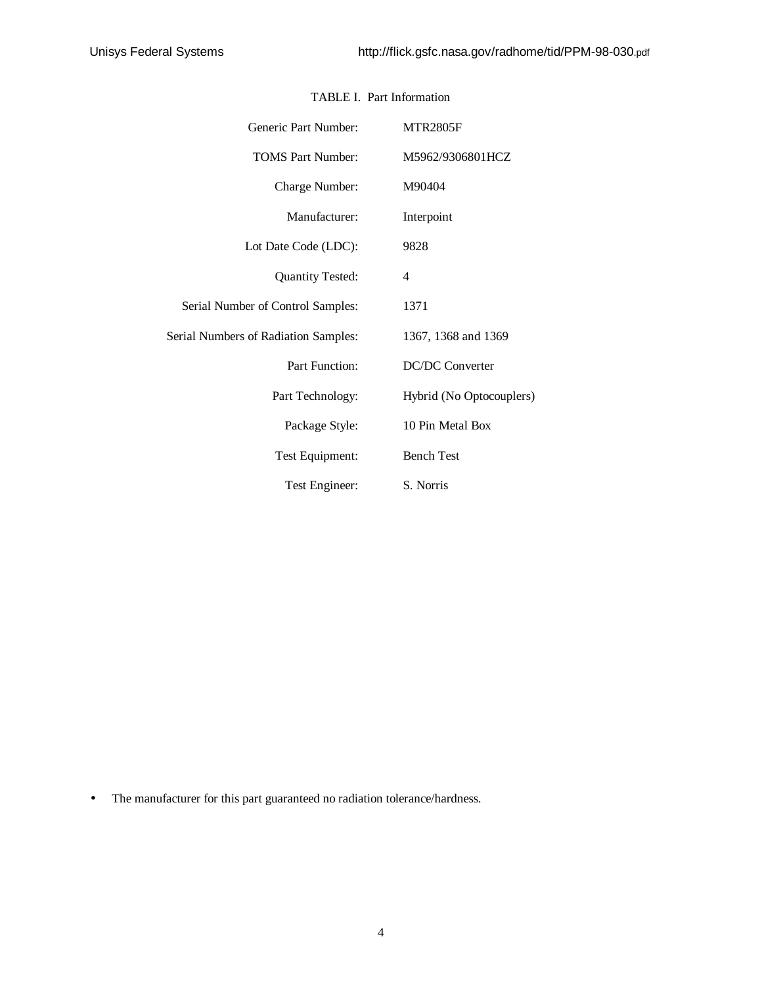| Generic Part Number:                        | <b>MTR2805F</b>          |
|---------------------------------------------|--------------------------|
| <b>TOMS Part Number:</b>                    | M5962/9306801HCZ         |
| Charge Number:                              | M90404                   |
| Manufacturer:                               | Interpoint               |
| Lot Date Code (LDC):                        | 9828                     |
| <b>Quantity Tested:</b>                     | 4                        |
| Serial Number of Control Samples:           | 1371                     |
| <b>Serial Numbers of Radiation Samples:</b> | 1367, 1368 and 1369      |
| Part Function:                              | DC/DC Converter          |
| Part Technology:                            | Hybrid (No Optocouplers) |
| Package Style:                              | 10 Pin Metal Box         |
| Test Equipment:                             | <b>Bench Test</b>        |
| Test Engineer:                              | S. Norris                |

## TABLE I. Part Information

• The manufacturer for this part guaranteed no radiation tolerance/hardness.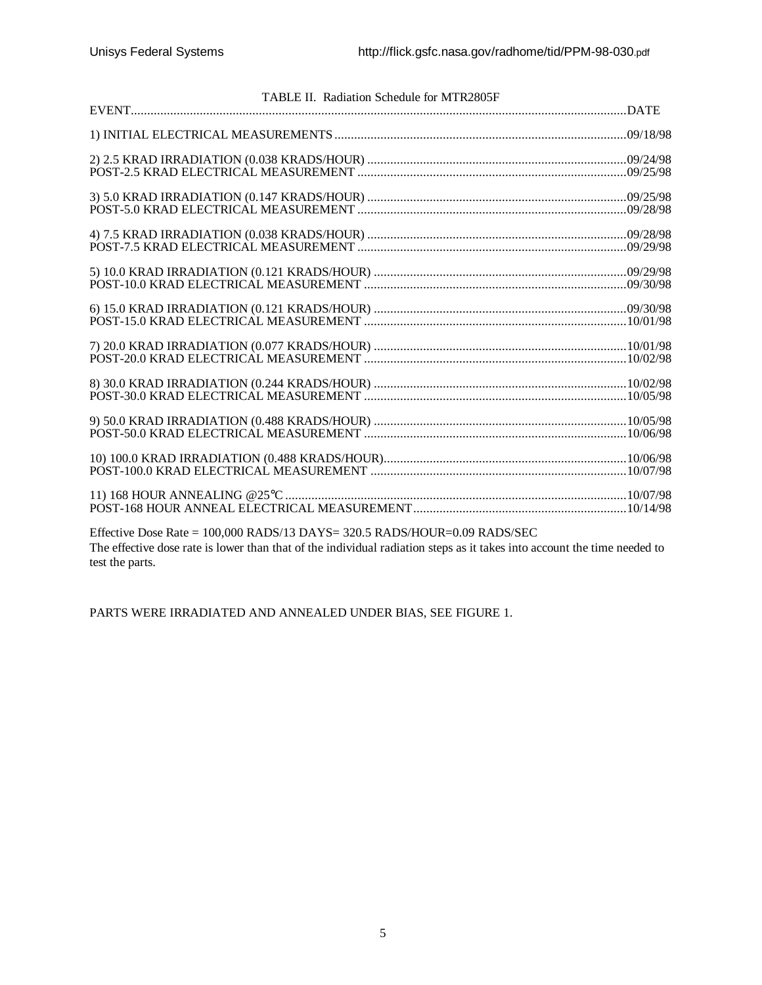| TABLE II. Radiation Schedule for MTR2805F                                            |  |
|--------------------------------------------------------------------------------------|--|
|                                                                                      |  |
|                                                                                      |  |
|                                                                                      |  |
|                                                                                      |  |
|                                                                                      |  |
|                                                                                      |  |
|                                                                                      |  |
|                                                                                      |  |
|                                                                                      |  |
|                                                                                      |  |
|                                                                                      |  |
|                                                                                      |  |
|                                                                                      |  |
|                                                                                      |  |
|                                                                                      |  |
|                                                                                      |  |
|                                                                                      |  |
|                                                                                      |  |
|                                                                                      |  |
|                                                                                      |  |
| Effective Dese Reta = 100,000 B A DS/12 D A VS = 220.5 B A DS/HOUD = 0.00 B A DS/SEC |  |

Effective Dose Rate = 100,000 RADS/13 DAYS= 320.5 RADS/HOUR=0.09 RADS/SEC The effective dose rate is lower than that of the individual radiation steps as it takes into account the time needed to test the parts.

PARTS WERE IRRADIATED AND ANNEALED UNDER BIAS, SEE FIGURE 1.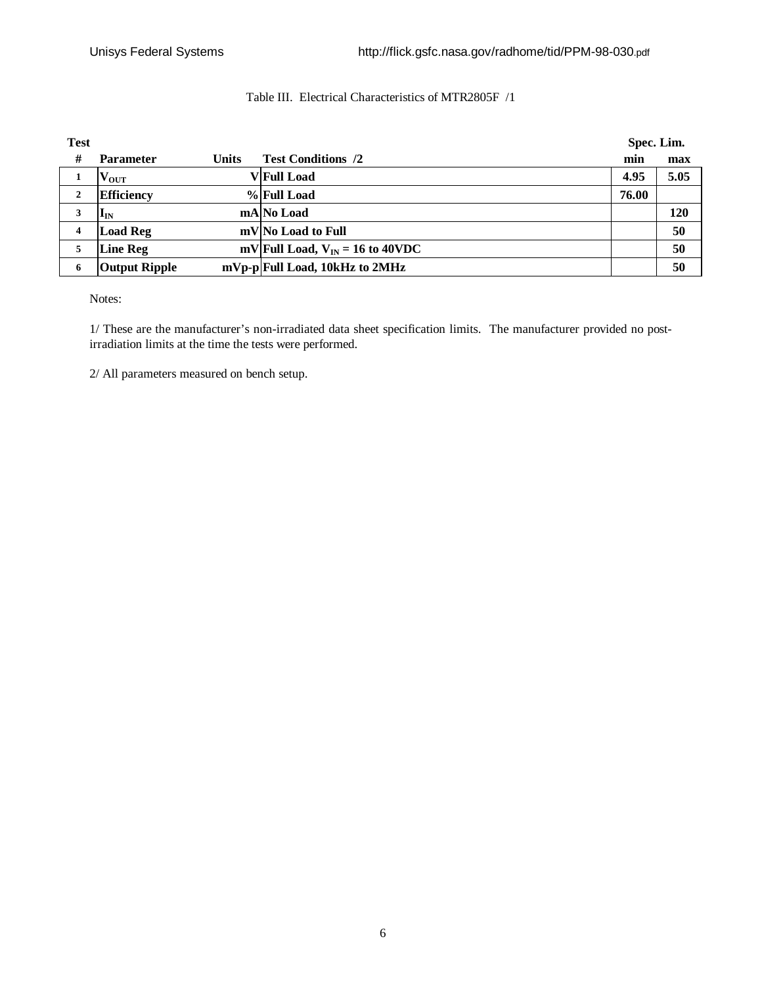## Table III. Electrical Characteristics of MTR2805F /1

| <b>Test</b>  |                       |              |                                      | Spec. Lim. |      |  |
|--------------|-----------------------|--------------|--------------------------------------|------------|------|--|
| #            | <b>Parameter</b>      | <b>Units</b> | <b>Test Conditions /2</b>            | min        | max  |  |
| 1            | $\mathbf{v_{out}}$    |              | <b>V</b> Full Load                   | 4.95       | 5.05 |  |
| $\mathbf{2}$ | <b>Efficiency</b>     |              | %Full Load                           | 76.00      |      |  |
| 3            | $\mathbf{l}_{\rm IN}$ |              | mA No Load                           |            | 120  |  |
| 4            | <b>Load Reg</b>       |              | mV No Load to Full                   |            | 50   |  |
| 5            | <b>Line Reg</b>       |              | mV Full Load, $V_{IN} = 16$ to 40VDC |            | 50   |  |
| 6            | <b>Output Ripple</b>  |              | mVp-p Full Load, 10kHz to 2MHz       |            | 50   |  |

Notes:

1/ These are the manufacturer's non-irradiated data sheet specification limits. The manufacturer provided no postirradiation limits at the time the tests were performed.

2/ All parameters measured on bench setup.